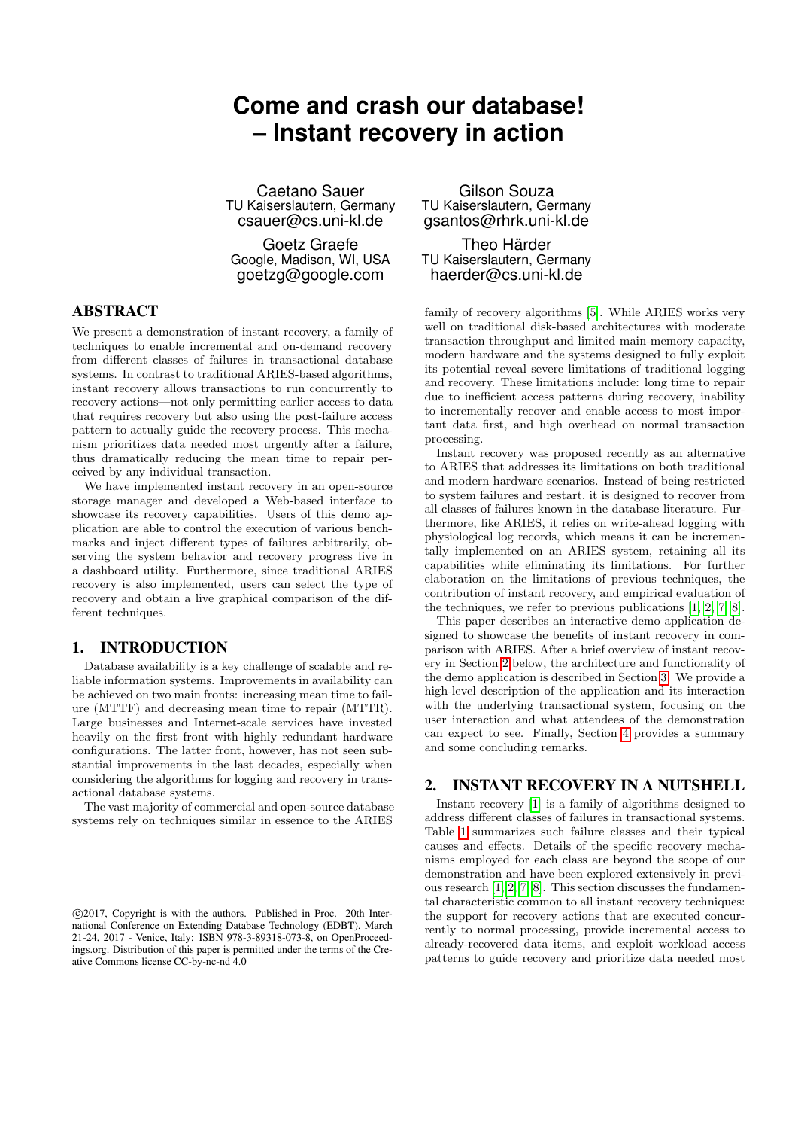# **Come and crash our database! – Instant recovery in action**

Caetano Sauer TU Kaiserslautern, Germany csauer@cs.uni-kl.de

Goetz Graefe Google, Madison, WI, USA goetzg@google.com

#### ABSTRACT

We present a demonstration of instant recovery, a family of techniques to enable incremental and on-demand recovery from different classes of failures in transactional database systems. In contrast to traditional ARIES-based algorithms, instant recovery allows transactions to run concurrently to recovery actions—not only permitting earlier access to data that requires recovery but also using the post-failure access pattern to actually guide the recovery process. This mechanism prioritizes data needed most urgently after a failure, thus dramatically reducing the mean time to repair perceived by any individual transaction.

We have implemented instant recovery in an open-source storage manager and developed a Web-based interface to showcase its recovery capabilities. Users of this demo application are able to control the execution of various benchmarks and inject different types of failures arbitrarily, observing the system behavior and recovery progress live in a dashboard utility. Furthermore, since traditional ARIES recovery is also implemented, users can select the type of recovery and obtain a live graphical comparison of the different techniques.

## 1. INTRODUCTION

Database availability is a key challenge of scalable and reliable information systems. Improvements in availability can be achieved on two main fronts: increasing mean time to failure (MTTF) and decreasing mean time to repair (MTTR). Large businesses and Internet-scale services have invested heavily on the first front with highly redundant hardware configurations. The latter front, however, has not seen substantial improvements in the last decades, especially when considering the algorithms for logging and recovery in transactional database systems.

The vast majority of commercial and open-source database systems rely on techniques similar in essence to the ARIES

Gilson Souza TU Kaiserslautern, Germany gsantos@rhrk.uni-kl.de

Theo Härder TU Kaiserslautern, Germany haerder@cs.uni-kl.de

family of recovery algorithms [\[5\]](#page-3-0). While ARIES works very well on traditional disk-based architectures with moderate transaction throughput and limited main-memory capacity, modern hardware and the systems designed to fully exploit its potential reveal severe limitations of traditional logging and recovery. These limitations include: long time to repair due to inefficient access patterns during recovery, inability to incrementally recover and enable access to most important data first, and high overhead on normal transaction processing.

Instant recovery was proposed recently as an alternative to ARIES that addresses its limitations on both traditional and modern hardware scenarios. Instead of being restricted to system failures and restart, it is designed to recover from all classes of failures known in the database literature. Furthermore, like ARIES, it relies on write-ahead logging with physiological log records, which means it can be incrementally implemented on an ARIES system, retaining all its capabilities while eliminating its limitations. For further elaboration on the limitations of previous techniques, the contribution of instant recovery, and empirical evaluation of the techniques, we refer to previous publications [\[1,](#page-3-1) [2,](#page-3-2) [7,](#page-3-3) [8\]](#page-3-4).

This paper describes an interactive demo application designed to showcase the benefits of instant recovery in comparison with ARIES. After a brief overview of instant recovery in Section [2](#page-0-0) below, the architecture and functionality of the demo application is described in Section [3.](#page-1-0) We provide a high-level description of the application and its interaction with the underlying transactional system, focusing on the user interaction and what attendees of the demonstration can expect to see. Finally, Section [4](#page-3-5) provides a summary and some concluding remarks.

## <span id="page-0-0"></span>2. INSTANT RECOVERY IN A NUTSHELL

Instant recovery [\[1\]](#page-3-1) is a family of algorithms designed to address different classes of failures in transactional systems. Table [1](#page-1-1) summarizes such failure classes and their typical causes and effects. Details of the specific recovery mechanisms employed for each class are beyond the scope of our demonstration and have been explored extensively in previous research [\[1,](#page-3-1) [2,](#page-3-2) [7,](#page-3-3) [8\]](#page-3-4). This section discusses the fundamental characteristic common to all instant recovery techniques: the support for recovery actions that are executed concurrently to normal processing, provide incremental access to already-recovered data items, and exploit workload access patterns to guide recovery and prioritize data needed most

c 2017, Copyright is with the authors. Published in Proc. 20th International Conference on Extending Database Technology (EDBT), March 21-24, 2017 - Venice, Italy: ISBN 978-3-89318-073-8, on OpenProceedings.org. Distribution of this paper is permitted under the terms of the Creative Commons license CC-by-nc-nd 4.0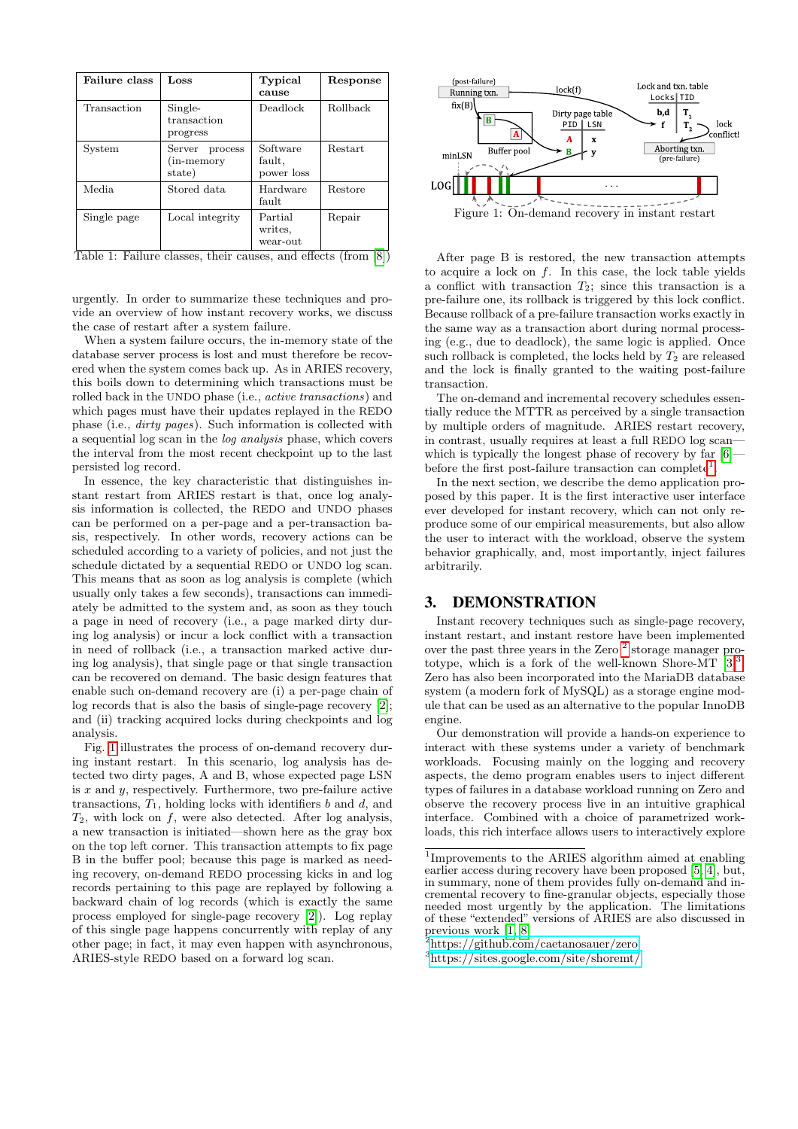<span id="page-1-1"></span>

| <b>Failure class</b> | Loss                                         | Typical<br>cause                 | Response |
|----------------------|----------------------------------------------|----------------------------------|----------|
| Transaction          | Single-<br>transaction<br>progress           | Deadlock                         | Rollback |
| System               | Server<br>process<br>$(in-memory)$<br>state) | Software<br>fault,<br>power loss | Restart  |
| Media.               | Stored data                                  | Hardware<br>fault                | Restore  |
| Single page          | Local integrity                              | Partial<br>writes,<br>wear-out   | Repair   |

Table 1: Failure classes, their causes, and effects (from [\[8\]](#page-3-4))

urgently. In order to summarize these techniques and provide an overview of how instant recovery works, we discuss the case of restart after a system failure.

When a system failure occurs, the in-memory state of the database server process is lost and must therefore be recovered when the system comes back up. As in ARIES recovery, this boils down to determining which transactions must be rolled back in the UNDO phase (i.e., active transactions) and which pages must have their updates replayed in the REDO phase (i.e., dirty pages). Such information is collected with a sequential log scan in the log analysis phase, which covers the interval from the most recent checkpoint up to the last persisted log record.

In essence, the key characteristic that distinguishes instant restart from ARIES restart is that, once log analysis information is collected, the REDO and UNDO phases can be performed on a per-page and a per-transaction basis, respectively. In other words, recovery actions can be scheduled according to a variety of policies, and not just the schedule dictated by a sequential REDO or UNDO log scan. This means that as soon as log analysis is complete (which usually only takes a few seconds), transactions can immediately be admitted to the system and, as soon as they touch a page in need of recovery (i.e., a page marked dirty during log analysis) or incur a lock conflict with a transaction in need of rollback (i.e., a transaction marked active during log analysis), that single page or that single transaction can be recovered on demand. The basic design features that enable such on-demand recovery are (i) a per-page chain of log records that is also the basis of single-page recovery [\[2\]](#page-3-2); and (ii) tracking acquired locks during checkpoints and log analysis.

Fig. [1](#page-1-2) illustrates the process of on-demand recovery during instant restart. In this scenario, log analysis has detected two dirty pages, A and B, whose expected page LSN is  $x$  and  $y$ , respectively. Furthermore, two pre-failure active transactions,  $T_1$ , holding locks with identifiers b and d, and  $T_2$ , with lock on f, were also detected. After log analysis, a new transaction is initiated—shown here as the gray box on the top left corner. This transaction attempts to fix page B in the buffer pool; because this page is marked as needing recovery, on-demand REDO processing kicks in and log records pertaining to this page are replayed by following a backward chain of log records (which is exactly the same process employed for single-page recovery [\[2\]](#page-3-2)). Log replay of this single page happens concurrently with replay of any other page; in fact, it may even happen with asynchronous, ARIES-style REDO based on a forward log scan.

<span id="page-1-2"></span>

After page B is restored, the new transaction attempts to acquire a lock on  $f$ . In this case, the lock table yields a conflict with transaction  $T_2$ ; since this transaction is a pre-failure one, its rollback is triggered by this lock conflict. Because rollback of a pre-failure transaction works exactly in the same way as a transaction abort during normal processing (e.g., due to deadlock), the same logic is applied. Once such rollback is completed, the locks held by  $T_2$  are released and the lock is finally granted to the waiting post-failure transaction.

The on-demand and incremental recovery schedules essentially reduce the MTTR as perceived by a single transaction by multiple orders of magnitude. ARIES restart recovery, in contrast, usually requires at least a full REDO log scan which is typically the longest phase of recovery by far  $[6]$ before the first post-failure transaction can complete<sup>[1](#page-1-3)</sup>.

In the next section, we describe the demo application proposed by this paper. It is the first interactive user interface ever developed for instant recovery, which can not only reproduce some of our empirical measurements, but also allow the user to interact with the workload, observe the system behavior graphically, and, most importantly, inject failures arbitrarily.

#### <span id="page-1-0"></span>3. DEMONSTRATION

Instant recovery techniques such as single-page recovery, instant restart, and instant restore have been implemented over the past three years in the Zero<sup>[2](#page-1-4)</sup> storage manager prototype, which is a fork of the well-known Shore-MT  $[3]^3$  $[3]^3$  $[3]^3$ . Zero has also been incorporated into the MariaDB database system (a modern fork of MySQL) as a storage engine module that can be used as an alternative to the popular InnoDB engine.

Our demonstration will provide a hands-on experience to interact with these systems under a variety of benchmark workloads. Focusing mainly on the logging and recovery aspects, the demo program enables users to inject different types of failures in a database workload running on Zero and observe the recovery process live in an intuitive graphical interface. Combined with a choice of parametrized workloads, this rich interface allows users to interactively explore

<span id="page-1-3"></span><sup>1</sup> Improvements to the ARIES algorithm aimed at enabling earlier access during recovery have been proposed [\[5,](#page-3-0) [4\]](#page-3-8), but, in summary, none of them provides fully on-demand and incremental recovery to fine-granular objects, especially those needed most urgently by the application. The limitations of these "extended" versions of ARIES are also discussed in previous work [\[1,](#page-3-1) [8\]](#page-3-4)

<span id="page-1-4"></span><sup>2</sup><https://github.com/caetanosauer/zero>

<span id="page-1-5"></span><sup>3</sup><https://sites.google.com/site/shoremt/>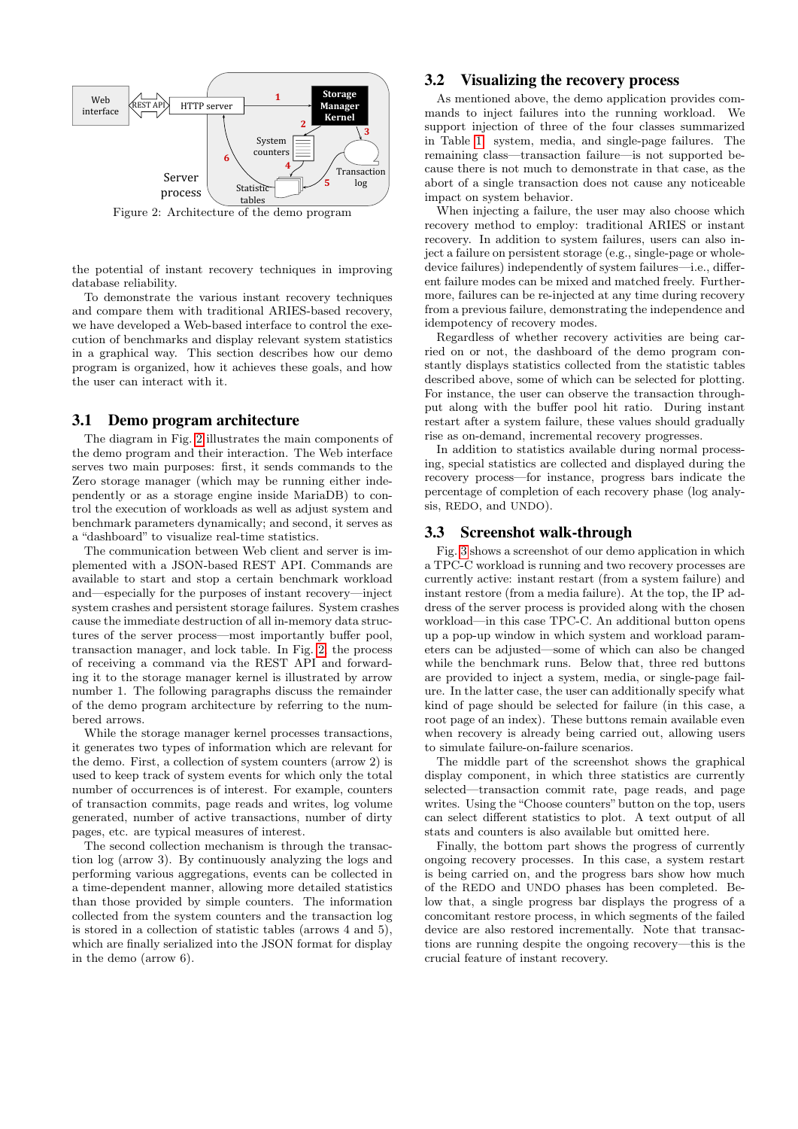<span id="page-2-0"></span>

Figure 2: Architecture of the demo program

the potential of instant recovery techniques in improving database reliability.

To demonstrate the various instant recovery techniques and compare them with traditional ARIES-based recovery, we have developed a Web-based interface to control the execution of benchmarks and display relevant system statistics in a graphical way. This section describes how our demo program is organized, how it achieves these goals, and how the user can interact with it.

#### 3.1 Demo program architecture

The diagram in Fig. [2](#page-2-0) illustrates the main components of the demo program and their interaction. The Web interface serves two main purposes: first, it sends commands to the Zero storage manager (which may be running either independently or as a storage engine inside MariaDB) to control the execution of workloads as well as adjust system and benchmark parameters dynamically; and second, it serves as a "dashboard" to visualize real-time statistics.

The communication between Web client and server is implemented with a JSON-based REST API. Commands are available to start and stop a certain benchmark workload and—especially for the purposes of instant recovery—inject system crashes and persistent storage failures. System crashes cause the immediate destruction of all in-memory data structures of the server process—most importantly buffer pool, transaction manager, and lock table. In Fig. [2,](#page-2-0) the process of receiving a command via the REST API and forwarding it to the storage manager kernel is illustrated by arrow number 1. The following paragraphs discuss the remainder of the demo program architecture by referring to the numbered arrows.

While the storage manager kernel processes transactions, it generates two types of information which are relevant for the demo. First, a collection of system counters (arrow 2) is used to keep track of system events for which only the total number of occurrences is of interest. For example, counters of transaction commits, page reads and writes, log volume generated, number of active transactions, number of dirty pages, etc. are typical measures of interest.

The second collection mechanism is through the transaction log (arrow 3). By continuously analyzing the logs and performing various aggregations, events can be collected in a time-dependent manner, allowing more detailed statistics than those provided by simple counters. The information collected from the system counters and the transaction log is stored in a collection of statistic tables (arrows 4 and 5), which are finally serialized into the JSON format for display in the demo (arrow 6).

#### 3.2 Visualizing the recovery process

As mentioned above, the demo application provides commands to inject failures into the running workload. We support injection of three of the four classes summarized in Table [1:](#page-1-1) system, media, and single-page failures. The remaining class—transaction failure—is not supported because there is not much to demonstrate in that case, as the abort of a single transaction does not cause any noticeable impact on system behavior.

When injecting a failure, the user may also choose which recovery method to employ: traditional ARIES or instant recovery. In addition to system failures, users can also inject a failure on persistent storage (e.g., single-page or wholedevice failures) independently of system failures—i.e., different failure modes can be mixed and matched freely. Furthermore, failures can be re-injected at any time during recovery from a previous failure, demonstrating the independence and idempotency of recovery modes.

Regardless of whether recovery activities are being carried on or not, the dashboard of the demo program constantly displays statistics collected from the statistic tables described above, some of which can be selected for plotting. For instance, the user can observe the transaction throughput along with the buffer pool hit ratio. During instant restart after a system failure, these values should gradually rise as on-demand, incremental recovery progresses.

In addition to statistics available during normal processing, special statistics are collected and displayed during the recovery process—for instance, progress bars indicate the percentage of completion of each recovery phase (log analysis, REDO, and UNDO).

#### 3.3 Screenshot walk-through

Fig. [3](#page-3-9) shows a screenshot of our demo application in which a TPC-C workload is running and two recovery processes are currently active: instant restart (from a system failure) and instant restore (from a media failure). At the top, the IP address of the server process is provided along with the chosen workload—in this case TPC-C. An additional button opens up a pop-up window in which system and workload parameters can be adjusted—some of which can also be changed while the benchmark runs. Below that, three red buttons are provided to inject a system, media, or single-page failure. In the latter case, the user can additionally specify what kind of page should be selected for failure (in this case, a root page of an index). These buttons remain available even when recovery is already being carried out, allowing users to simulate failure-on-failure scenarios.

The middle part of the screenshot shows the graphical display component, in which three statistics are currently selected—transaction commit rate, page reads, and page writes. Using the "Choose counters" button on the top, users can select different statistics to plot. A text output of all stats and counters is also available but omitted here.

Finally, the bottom part shows the progress of currently ongoing recovery processes. In this case, a system restart is being carried on, and the progress bars show how much of the REDO and UNDO phases has been completed. Below that, a single progress bar displays the progress of a concomitant restore process, in which segments of the failed device are also restored incrementally. Note that transactions are running despite the ongoing recovery—this is the crucial feature of instant recovery.